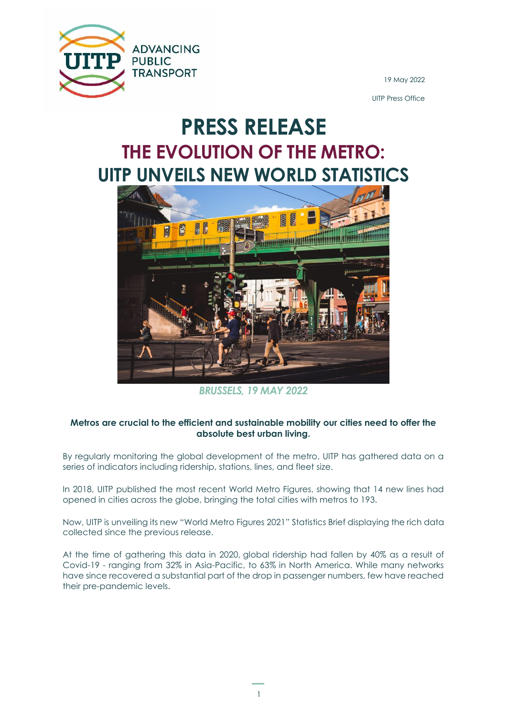

19 May 2022

UITP Press Office

# **PRESS RELEASE THE EVOLUTION OF THE METRO: UITP UNVEILS NEW WORLD STATISTICS**



*BRUSSELS, 19 MAY 2022*

### **Metros are crucial to the efficient and sustainable mobility our cities need to offer the absolute best urban living.**

By regularly monitoring the global development of the metro, UITP has gathered data on a series of indicators including ridership, stations, lines, and fleet size.

In 2018, UITP published the most recent World Metro Figures, showing that 14 new lines had opened in cities across the globe, bringing the total cities with metros to 193.

Now, UITP is unveiling its new "World Metro Figures 2021" Statistics Brief displaying the rich data collected since the previous release.

At the time of gathering this data in 2020, global ridership had fallen by 40% as a result of Covid-19 - ranging from 32% in Asia-Pacific, to 63% in North America. While many networks have since recovered a substantial part of the drop in passenger numbers, few have reached their pre-pandemic levels.